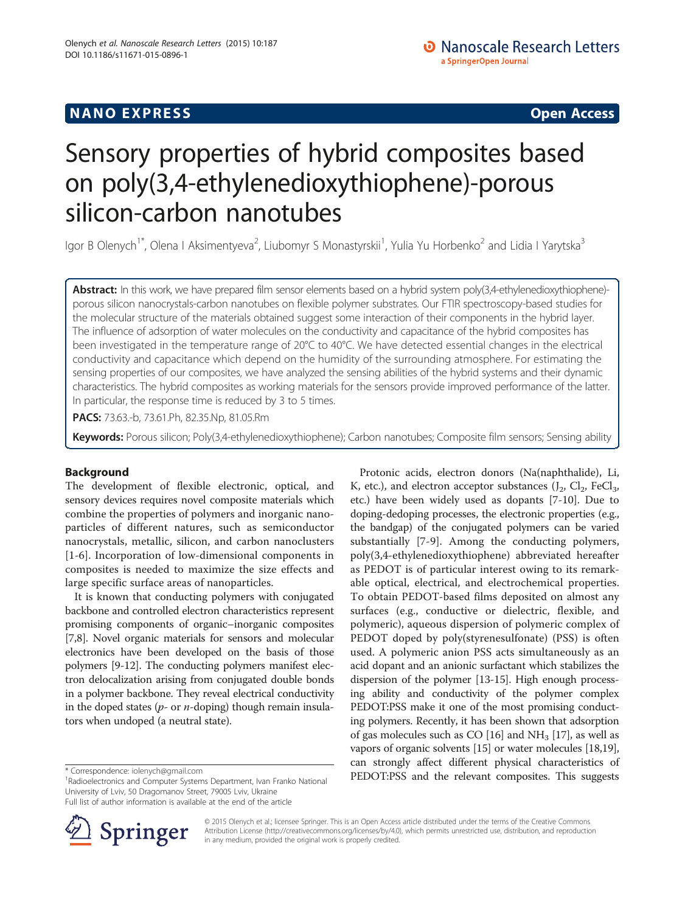# Sensory properties of hybrid composites based on poly(3,4-ethylenedioxythiophene)-porous silicon-carbon nanotubes

lgor B Olenych<sup>1\*</sup>, Olena I Aksimentyeva<sup>2</sup>, Liubomyr S Monastyrskii<sup>1</sup>, Yulia Yu Horbenko<sup>2</sup> and Lidia I Yarytska<sup>3</sup>

Abstract: In this work, we have prepared film sensor elements based on a hybrid system poly(3,4-ethylenedioxythiophene)porous silicon nanocrystals-carbon nanotubes on flexible polymer substrates. Our FTIR spectroscopy-based studies for the molecular structure of the materials obtained suggest some interaction of their components in the hybrid layer. The influence of adsorption of water molecules on the conductivity and capacitance of the hybrid composites has been investigated in the temperature range of 20°C to 40°C. We have detected essential changes in the electrical conductivity and capacitance which depend on the humidity of the surrounding atmosphere. For estimating the sensing properties of our composites, we have analyzed the sensing abilities of the hybrid systems and their dynamic characteristics. The hybrid composites as working materials for the sensors provide improved performance of the latter. In particular, the response time is reduced by 3 to 5 times.

PACS: 73.63.-b, 73.61.Ph, 82.35.Np, 81.05.Rm

Keywords: Porous silicon; Poly(3,4-ethylenedioxythiophene); Carbon nanotubes; Composite film sensors; Sensing ability

## Background

The development of flexible electronic, optical, and sensory devices requires novel composite materials which combine the properties of polymers and inorganic nanoparticles of different natures, such as semiconductor nanocrystals, metallic, silicon, and carbon nanoclusters [[1-6\]](#page-4-0). Incorporation of low-dimensional components in composites is needed to maximize the size effects and large specific surface areas of nanoparticles.

It is known that conducting polymers with conjugated backbone and controlled electron characteristics represent promising components of organic–inorganic composites [[7,8](#page-4-0)]. Novel organic materials for sensors and molecular electronics have been developed on the basis of those polymers [[9-12\]](#page-4-0). The conducting polymers manifest electron delocalization arising from conjugated double bonds in a polymer backbone. They reveal electrical conductivity in the doped states ( $p$ - or  $n$ -doping) though remain insulators when undoped (a neutral state).

<sup>1</sup>Radioelectronics and Computer Systems Department, Ivan Franko National University of Lviv, 50 Dragomanov Street, 79005 Lviv, Ukraine

Full list of author information is available at the end of the article



Protonic acids, electron donors (Na(naphthalide), Li, K, etc.), and electron acceptor substances  $(J_2, Cl_2, FeCl_3,$ etc.) have been widely used as dopants [[7-10\]](#page-4-0). Due to doping-dedoping processes, the electronic properties (e.g., the bandgap) of the conjugated polymers can be varied substantially [\[7-9](#page-4-0)]. Among the conducting polymers, poly(3,4-ethylenedioxythiophene) abbreviated hereafter as PEDOT is of particular interest owing to its remarkable optical, electrical, and electrochemical properties. To obtain PEDOT-based films deposited on almost any surfaces (e.g., conductive or dielectric, flexible, and polymeric), aqueous dispersion of polymeric complex of PEDOT doped by poly(styrenesulfonate) (PSS) is often used. A polymeric anion PSS acts simultaneously as an acid dopant and an anionic surfactant which stabilizes the dispersion of the polymer [[13](#page-4-0)-[15](#page-4-0)]. High enough processing ability and conductivity of the polymer complex PEDOT:PSS make it one of the most promising conducting polymers. Recently, it has been shown that adsorption of gas molecules such as CO  $[16]$  $[16]$  $[16]$  and NH<sub>3</sub>  $[17]$ , as well as vapors of organic solvents [[15](#page-4-0)] or water molecules [\[18,19](#page-4-0)], can strongly affect different physical characteristics of \* Correspondence: [iolenych@gmail.com](mailto:iolenych@gmail.com)<br><sup>1</sup>Badioelectronics and Computer Systems Department Ivan Franko National PEDOT:PSS and the relevant composites. This suggests

> © 2015 Olenych et al.; licensee Springer. This is an Open Access article distributed under the terms of the Creative Commons Attribution License [\(http://creativecommons.org/licenses/by/4.0\)](http://creativecommons.org/licenses/by/4.0), which permits unrestricted use, distribution, and reproduction in any medium, provided the original work is properly credited.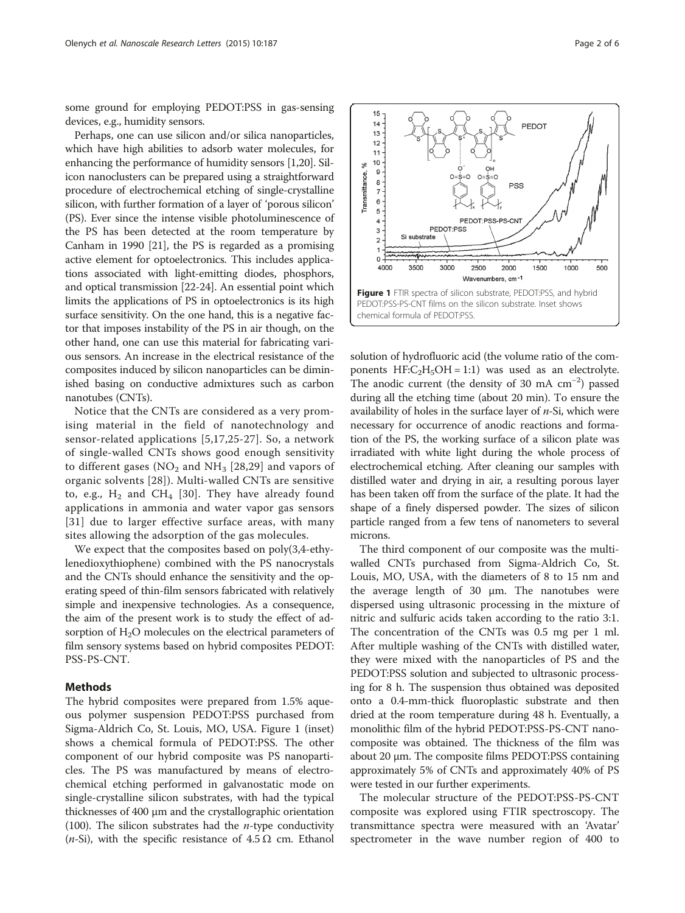<span id="page-1-0"></span>some ground for employing PEDOT:PSS in gas-sensing devices, e.g., humidity sensors.

Perhaps, one can use silicon and/or silica nanoparticles, which have high abilities to adsorb water molecules, for enhancing the performance of humidity sensors [\[1,20](#page-4-0)]. Silicon nanoclusters can be prepared using a straightforward procedure of electrochemical etching of single-crystalline silicon, with further formation of a layer of 'porous silicon' (PS). Ever since the intense visible photoluminescence of the PS has been detected at the room temperature by Canham in 1990 [\[21\]](#page-4-0), the PS is regarded as a promising active element for optoelectronics. This includes applications associated with light-emitting diodes, phosphors, and optical transmission [\[22](#page-4-0)-[24](#page-4-0)]. An essential point which limits the applications of PS in optoelectronics is its high surface sensitivity. On the one hand, this is a negative factor that imposes instability of the PS in air though, on the other hand, one can use this material for fabricating various sensors. An increase in the electrical resistance of the composites induced by silicon nanoparticles can be diminished basing on conductive admixtures such as carbon nanotubes (CNTs).

Notice that the CNTs are considered as a very promising material in the field of nanotechnology and sensor-related applications [[5](#page-4-0),[17,25](#page-4-0)-[27](#page-4-0)]. So, a network of single-walled CNTs shows good enough sensitivity to different gases ( $NO<sub>2</sub>$  and  $NH<sub>3</sub>$  [\[28,29](#page-4-0)] and vapors of organic solvents [[28\]](#page-4-0)). Multi-walled CNTs are sensitive to, e.g.,  $H_2$  and CH<sub>4</sub> [[30\]](#page-4-0). They have already found applications in ammonia and water vapor gas sensors [[31](#page-4-0)] due to larger effective surface areas, with many sites allowing the adsorption of the gas molecules.

We expect that the composites based on poly(3,4-ethylenedioxythiophene) combined with the PS nanocrystals and the CNTs should enhance the sensitivity and the operating speed of thin-film sensors fabricated with relatively simple and inexpensive technologies. As a consequence, the aim of the present work is to study the effect of adsorption of  $H_2O$  molecules on the electrical parameters of film sensory systems based on hybrid composites PEDOT: PSS-PS-CNT.

## Methods

The hybrid composites were prepared from 1.5% aqueous polymer suspension PEDOT:PSS purchased from Sigma-Aldrich Co, St. Louis, MO, USA. Figure 1 (inset) shows a chemical formula of PEDOT:PSS. The other component of our hybrid composite was PS nanoparticles. The PS was manufactured by means of electrochemical etching performed in galvanostatic mode on single-crystalline silicon substrates, with had the typical thicknesses of 400 μm and the crystallographic orientation (100). The silicon substrates had the *n*-type conductivity (*n*-Si), with the specific resistance of  $4.5 \Omega$  cm. Ethanol



solution of hydrofluoric acid (the volume ratio of the components  $HF:C<sub>2</sub>H<sub>5</sub>OH = 1:1$  was used as an electrolyte. The anodic current (the density of 30 mA cm−<sup>2</sup> ) passed during all the etching time (about 20 min). To ensure the availability of holes in the surface layer of  $n$ -Si, which were necessary for occurrence of anodic reactions and formation of the PS, the working surface of a silicon plate was irradiated with white light during the whole process of electrochemical etching. After cleaning our samples with distilled water and drying in air, a resulting porous layer has been taken off from the surface of the plate. It had the shape of a finely dispersed powder. The sizes of silicon particle ranged from a few tens of nanometers to several microns.

The third component of our composite was the multiwalled CNTs purchased from Sigma-Aldrich Co, St. Louis, MO, USA, with the diameters of 8 to 15 nm and the average length of 30 μm. The nanotubes were dispersed using ultrasonic processing in the mixture of nitric and sulfuric acids taken according to the ratio 3:1. The concentration of the CNTs was 0.5 mg per 1 ml. After multiple washing of the CNTs with distilled water, they were mixed with the nanoparticles of PS and the PEDOT:PSS solution and subjected to ultrasonic processing for 8 h. The suspension thus obtained was deposited onto a 0.4-mm-thick fluoroplastic substrate and then dried at the room temperature during 48 h. Eventually, a monolithic film of the hybrid PEDOT:PSS-PS-CNT nanocomposite was obtained. The thickness of the film was about 20 μm. The composite films PEDOT:PSS containing approximately 5% of CNTs and approximately 40% of PS were tested in our further experiments.

The molecular structure of the PEDOT:PSS-PS-CNT composite was explored using FTIR spectroscopy. The transmittance spectra were measured with an 'Avatar' spectrometer in the wave number region of 400 to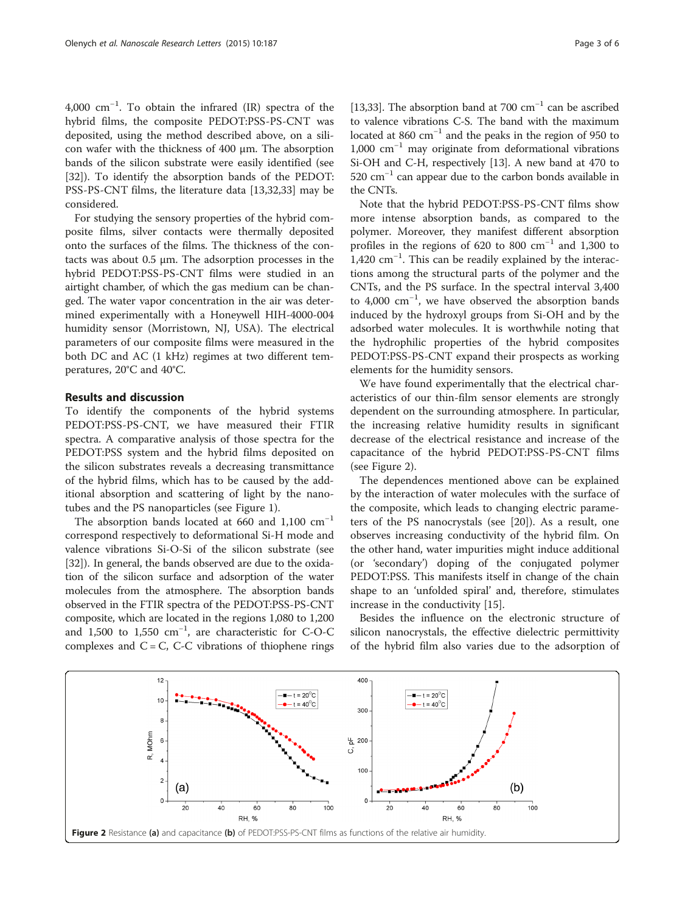4,000 cm−<sup>1</sup> . To obtain the infrared (IR) spectra of the hybrid films, the composite PEDOT:PSS-PS-CNT was deposited, using the method described above, on a silicon wafer with the thickness of 400 μm. The absorption bands of the silicon substrate were easily identified (see [[32\]](#page-4-0)). To identify the absorption bands of the PEDOT: PSS-PS-CNT films, the literature data [\[13,32](#page-4-0)[,33](#page-5-0)] may be considered.

For studying the sensory properties of the hybrid composite films, silver contacts were thermally deposited onto the surfaces of the films. The thickness of the contacts was about 0.5 μm. The adsorption processes in the hybrid PEDOT:PSS-PS-CNT films were studied in an airtight chamber, of which the gas medium can be changed. The water vapor concentration in the air was determined experimentally with a Honeywell HIH-4000-004 humidity sensor (Morristown, NJ, USA). The electrical parameters of our composite films were measured in the both DC and AC (1 kHz) regimes at two different temperatures, 20°С and 40°С.

## Results and discussion

To identify the components of the hybrid systems PEDOT:PSS-PS-CNT, we have measured their FTIR spectra. A comparative analysis of those spectra for the PEDOT:PSS system and the hybrid films deposited on the silicon substrates reveals a decreasing transmittance of the hybrid films, which has to be caused by the additional absorption and scattering of light by the nanotubes and the PS nanoparticles (see Figure [1](#page-1-0)).

The absorption bands located at 660 and 1,100  $cm^{-1}$ correspond respectively to deformational Si-H mode and valence vibrations Si-O-Si of the silicon substrate (see [[32\]](#page-4-0)). In general, the bands observed are due to the oxidation of the silicon surface and adsorption of the water molecules from the atmosphere. The absorption bands observed in the FTIR spectra of the PEDOT:PSS-PS-CNT composite, which are located in the regions 1,080 to 1,200 and 1,500 to 1,550 cm−<sup>1</sup> , are characteristic for С-О-С complexes and  $C = C$ , C-C vibrations of thiophene rings [[13](#page-4-0),[33](#page-5-0)]. The absorption band at 700 cm<sup>-1</sup> can be ascribed to valence vibrations С-S. The band with the maximum located at 860  $\text{cm}^{-1}$  and the peaks in the region of 950 to 1,000 cm−<sup>1</sup> may originate from deformational vibrations Si-OH and С-Н, respectively [\[13\]](#page-4-0). A new band at 470 to 520 cm−<sup>1</sup> can appear due to the carbon bonds available in the CNTs.

Note that the hybrid PEDOT:PSS-PS-CNT films show more intense absorption bands, as compared to the polymer. Moreover, they manifest different absorption profiles in the regions of 620 to 800  $cm^{-1}$  and 1,300 to 1,420 cm−<sup>1</sup> . This can be readily explained by the interactions among the structural parts of the polymer and the CNTs, and the PS surface. In the spectral interval 3,400 to 4,000 cm−<sup>1</sup> , we have observed the absorption bands induced by the hydroxyl groups from Si-OH and by the adsorbed water molecules. It is worthwhile noting that the hydrophilic properties of the hybrid composites PEDOT:PSS-PS-CNT expand their prospects as working elements for the humidity sensors.

We have found experimentally that the electrical characteristics of our thin-film sensor elements are strongly dependent on the surrounding atmosphere. In particular, the increasing relative humidity results in significant decrease of the electrical resistance and increase of the capacitance of the hybrid PEDOT:PSS-PS-CNT films (see Figure 2).

The dependences mentioned above can be explained by the interaction of water molecules with the surface of the composite, which leads to changing electric parameters of the PS nanocrystals (see [\[20\]](#page-4-0)). As a result, one observes increasing conductivity of the hybrid film. On the other hand, water impurities might induce additional (or 'secondary') doping of the conjugated polymer PEDOT:PSS. This manifests itself in change of the chain shape to an 'unfolded spiral' and, therefore, stimulates increase in the conductivity [[15\]](#page-4-0).

Besides the influence on the electronic structure of silicon nanocrystals, the effective dielectric permittivity of the hybrid film also varies due to the adsorption of

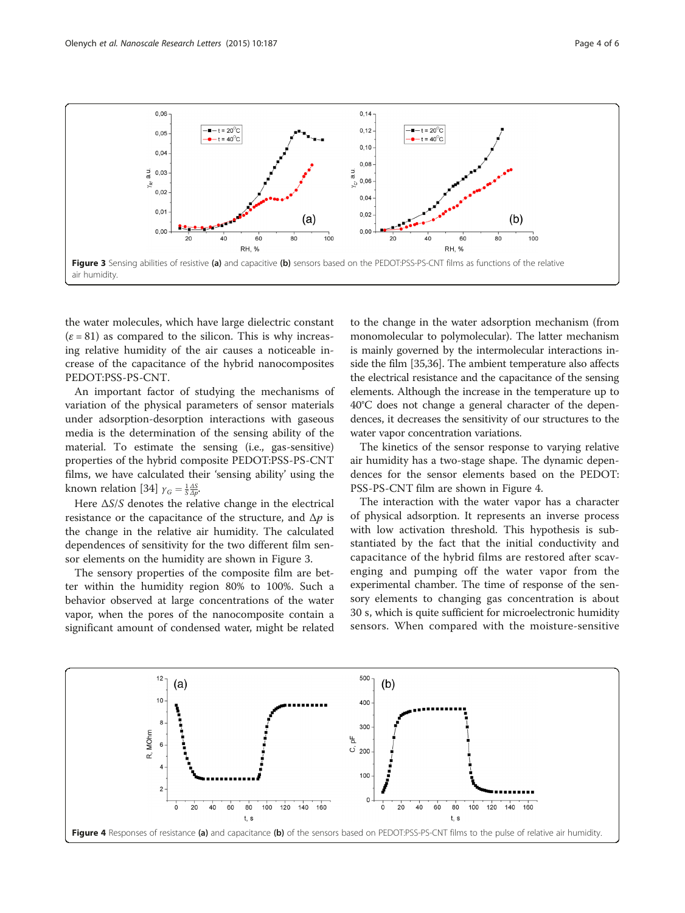

the water molecules, which have large dielectric constant  $(\varepsilon = 81)$  as compared to the silicon. This is why increasing relative humidity of the air causes a noticeable increase of the capacitance of the hybrid nanocomposites PEDOT:PSS-PS-CNT.

An important factor of studying the mechanisms of variation of the physical parameters of sensor materials under adsorption-desorption interactions with gaseous media is the determination of the sensing ability of the material. To estimate the sensing (i.e., gas-sensitive) properties of the hybrid composite PEDOT:PSS-PS-CNT films, we have calculated their 'sensing ability' using the known relation [[34\]](#page-5-0)  $\gamma_G = \frac{1}{S} \frac{\Delta S}{\Delta p}$ .

Here  $\Delta S/S$  denotes the relative change in the electrical resistance or the capacitance of the structure, and  $\Delta p$  is the change in the relative air humidity. The calculated dependences of sensitivity for the two different film sensor elements on the humidity are shown in Figure 3.

The sensory properties of the composite film are better within the humidity region 80% to 100%. Such a behavior observed at large concentrations of the water vapor, when the pores of the nanocomposite contain a significant amount of condensed water, might be related

to the change in the water adsorption mechanism (from monomolecular to polymolecular). The latter mechanism is mainly governed by the intermolecular interactions inside the film [\[35,36](#page-5-0)]. The ambient temperature also affects the electrical resistance and the capacitance of the sensing elements. Although the increase in the temperature up to 40°С does not change a general character of the dependences, it decreases the sensitivity of our structures to the water vapor concentration variations.

The kinetics of the sensor response to varying relative air humidity has a two-stage shape. The dynamic dependences for the sensor elements based on the PEDOT: PSS-PS-CNT film are shown in Figure 4.

The interaction with the water vapor has a character of physical adsorption. It represents an inverse process with low activation threshold. This hypothesis is substantiated by the fact that the initial conductivity and capacitance of the hybrid films are restored after scavenging and pumping off the water vapor from the experimental chamber. The time of response of the sensory elements to changing gas concentration is about 30 s, which is quite sufficient for microelectronic humidity sensors. When compared with the moisture-sensitive

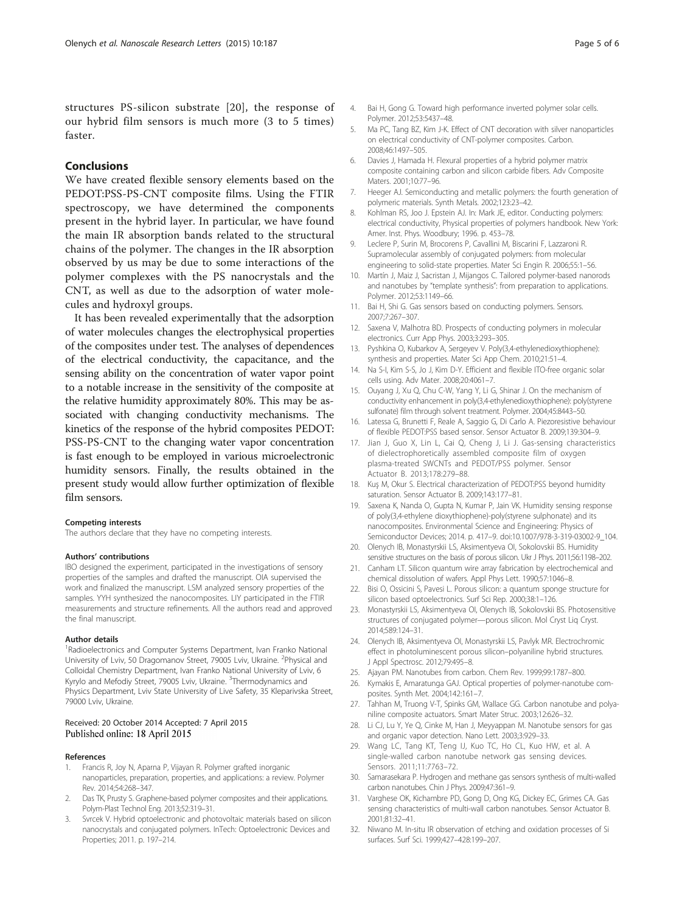## <span id="page-4-0"></span>Conclusions

We have created flexible sensory elements based on the PEDOT:PSS-PS-CNT composite films. Using the FTIR spectroscopy, we have determined the components present in the hybrid layer. In particular, we have found the main IR absorption bands related to the structural chains of the polymer. The changes in the IR absorption observed by us may be due to some interactions of the polymer complexes with the PS nanocrystals and the CNT, as well as due to the adsorption of water molecules and hydroxyl groups.

It has been revealed experimentally that the adsorption of water molecules changes the electrophysical properties of the composites under test. The analyses of dependences of the electrical conductivity, the capacitance, and the sensing ability on the concentration of water vapor point to a notable increase in the sensitivity of the composite at the relative humidity approximately 80%. This may be associated with changing conductivity mechanisms. The kinetics of the response of the hybrid composites PEDOT: PSS-PS-CNT to the changing water vapor concentration is fast enough to be employed in various microelectronic humidity sensors. Finally, the results obtained in the present study would allow further optimization of flexible film sensors.

#### Competing interests

The authors declare that they have no competing interests.

#### Authors' contributions

IBO designed the experiment, participated in the investigations of sensory properties of the samples and drafted the manuscript. OIA supervised the work and finalized the manuscript. LSM analyzed sensory properties of the samples. YYH synthesized the nanocomposites. LIY participated in the FTIR measurements and structure refinements. All the authors read and approved the final manuscript.

#### Author details

<sup>1</sup> Radioelectronics and Computer Systems Department, Ivan Franko National University of Lviv, 50 Dragomanov Street, 79005 Lviv, Ukraine. <sup>2</sup>Physical and Colloidal Chemistry Department, Ivan Franko National University of Lviv, 6 Kyrylo and Mefodiy Street, 79005 Lviv, Ukraine. <sup>3</sup>Thermodynamics and Physics Department, Lviv State University of Live Safety, 35 Kleparivska Street, 79000 Lviv, Ukraine.

## Received: 20 October 2014 Accepted: 7 April 2015 Published online: 18 April 2015

#### References

- 1. Francis R, Joy N, Aparna P, Vijayan R. Polymer grafted inorganic nanoparticles, preparation, properties, and applications: a review. Polymer Rev. 2014;54:268–347.
- 2. Das TK, Prusty S. Graphene-based polymer composites and their applications. Polym-Plast Technol Eng. 2013;52:319–31.
- 3. Svrcek V. Hybrid optoelectronic and photovoltaic materials based on silicon nanocrystals and conjugated polymers. InTech: Optoelectronic Devices and Properties; 2011. p. 197–214.
- 5. Ma PC, Tang BZ, Kim J-K. Effect of CNT decoration with silver nanoparticles on electrical conductivity of CNT-polymer composites. Carbon. 2008;46:1497–505.
- 6. Davies J, Hamada H. Flexural properties of a hybrid polymer matrix composite containing carbon and silicon carbide fibers. Adv Composite Maters. 2001;10:77–96.
- 7. Нeeger AJ. Semiconducting and metallic polymers: the fourth generation of polymeric materials. Synth Metals. 2002;123:23–42.
- 8. Kohlman RS, Joo J. Epstein AJ. In: Mark JE, editor. Conducting polymers: electrical conductivity, Physical properties of polymers handbook. New York: Amer. Inst. Phys. Woodbury; 1996. p. 453–78.
- 9. Leclere P, Surin M, Brocorens P, Cavallini M, Biscarini F, Lazzaroni R. Supramolecular assembly of conjugated polymers: from molecular engineering to solid-state properties. Mater Sci Engin R. 2006;55:1–56.
- 10. Martín J, Maiz J, Sacristan J, Mijangos C. Tailored polymer-based nanorods and nanotubes by "template synthesis": from preparation to applications. Polymer. 2012;53:1149–66.
- 11. Bai H, Shi G. Gas sensors based on conducting polymers. Sensors. 2007;7:267–307.
- 12. Saxena V, Malhotra BD. Prospects of conducting polymers in molecular electronics. Curr App Phys. 2003;3:293–305.
- 13. Pyshkina O, Kubarkov A, Sergeyev V. Poly(3,4-ethylenedioxythiophene): synthesis and properties. Mater Sci App Chem. 2010;21:51–4.
- 14. Na S-I, Kim S-S, Jo J, Kim D-Y. Efficient and flexible ITO-free organic solar cells using. Adv Mater. 2008;20:4061–7.
- 15. Ouyang J, Xu Q, Chu C-W, Yang Y, Li G, Shinar J. On the mechanism of conductivity enhancement in poly(3,4-ethylenedioxythiophene): poly(styrene sulfonate) film through solvent treatment. Polymer. 2004;45:8443–50.
- 16. Latessa G, Brunetti F, Reale A, Saggio G, Di Carlo A. Piezoresistive behaviour of flexible PEDOT:PSS based sensor. Sensor Actuator B. 2009;139:304–9.
- 17. Jian J, Guo X, Lin L, Cai Q, Cheng J, Li J. Gas-sensing characteristics of dielectrophoretically assembled composite film of oxygen plasma-treated SWCNTs and PEDOT/PSS polymer. Sensor Actuator B. 2013;178:279–88.
- 18. Kuş M, Okur S. Electrical characterization of PEDOT:PSS beyond humidity saturation. Sensor Actuator B. 2009;143:177–81.
- 19. Saxena K, Nanda O, Gupta N, Kumar P, Jain VK. Humidity sensing response of poly(3,4-ethylene dioxythiophene)-poly(styrene sulphonate) and its nanocomposites. Environmental Science and Engineering: Physics of Semiconductor Devices; 2014. p. 417–9. doi[:10.1007/978-3-319-03002-9\\_104.](http://dx.doi.org/10.1007/978-3-319-03002-9_104)
- 20. Olenych IB, Monastyrskii LS, Aksimentyeva OI, Sokolovskii BS. Humidity sensitive structures on the basis of porous silicon. Ukr J Phys. 2011;56:1198–202.
- 21. Canham LT. Silicon quantum wire array fabrication by electrochemical and chemical dissolution of wafers. Appl Phys Lett. 1990;57:1046–8.
- 22. Bisi O, Ossicini S, Pavesi L. Porous silicon: a quantum sponge structure for silicon based optoelectronics. Surf Sci Rep. 2000;38:1–126.
- 23. Monastyrskii LS, Aksimentyeva OI, Olenych IB, Sokolovskii BS. Photosensitive structures of conjugated polymer—porous silicon. Mol Cryst Liq Cryst. 2014;589:124–31.
- 24. Olenych IB, Aksimentyeva OI, Monastyrskii LS, Pavlyk MR. Electrochromic effect in photoluminescent porous silicon–polyaniline hybrid structures. J Appl Spectrosc. 2012;79:495–8.
- 25. Ajayan PM. Nanotubes from carbon. Chem Rev. 1999;99:1787–800.
- 26. Kymakis E, Amaratunga GAJ. Optical properties of polymer-nanotube composites. Synth Met. 2004;142:161–7.
- 27. Tahhan M, Truong V-T, Spinks GM, Wallace GG. Carbon nanotube and polyaniline composite actuators. Smart Mater Struc. 2003;12:626–32.
- 28. Li CJ, Lu Y, Ye Q, Cinke M, Han J, Meyyappan M. Nanotube sensors for gas and organic vapor detection. Nano Lett. 2003;3:929–33.
- 29. Wang LC, Tang KT, Teng IJ, Kuo TC, Ho CL, Kuo HW, et al. A single-walled carbon nanotube network gas sensing devices. Sensors. 2011;11:7763–72.
- 30. Samarasekara P. Hydrogen and methane gas sensors synthesis of multi-walled carbon nanotubes. Chin J Phys. 2009;47:361–9.
- 31. Varghese OK, Kichambre PD, Gong D, Ong KG, Dickey EC, Grimes CA. Gas sensing characteristics of multi-wall carbon nanotubes. Sensor Actuator B. 2001;81:32–41.
- 32. Niwano M. In-situ IR observation of etching and oxidation processes of Si surfaces. Surf Sci. 1999;427–428:199–207.